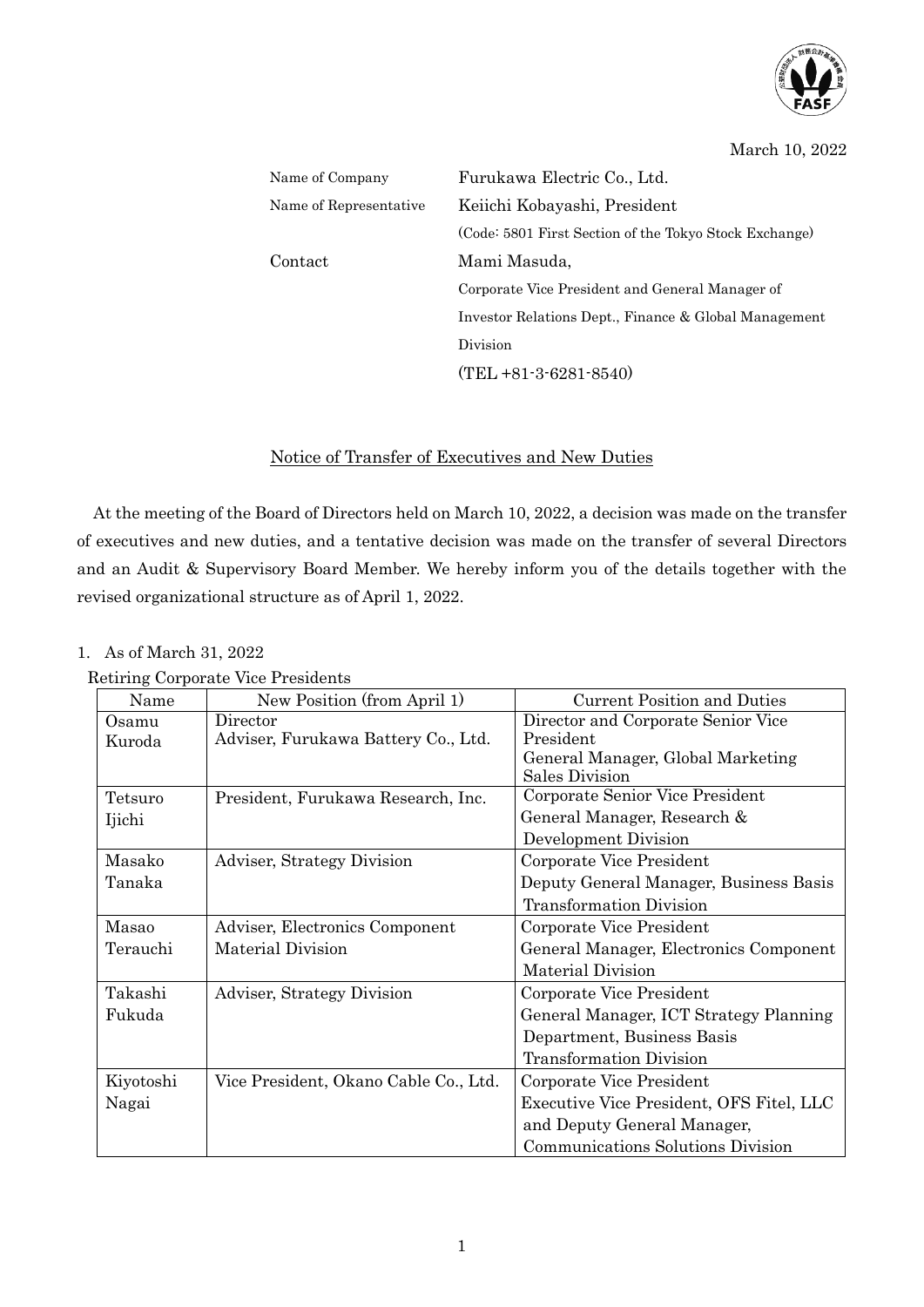

### March 10, 2022

Department, Business Basis Transformation Division

and Deputy General Manager, Communications Solutions Division

Executive Vice President, OFS Fitel, LLC

| Name of Company        | Furukawa Electric Co., Ltd.                            |
|------------------------|--------------------------------------------------------|
| Name of Representative | Keiichi Kobayashi, President                           |
|                        | (Code: 5801 First Section of the Tokyo Stock Exchange) |
| Contact                | Mami Masuda,                                           |
|                        | Corporate Vice President and General Manager of        |
|                        | Investor Relations Dept., Finance & Global Management  |
|                        | Division                                               |
|                        | $(TEL + 81 - 3 - 6281 - 8540)$                         |

## Notice of Transfer of Executives and New Duties

At the meeting of the Board of Directors held on March 10, 2022, a decision was made on the transfer of executives and new duties, and a tentative decision was made on the transfer of several Directors and an Audit & Supervisory Board Member. We hereby inform you of the details together with the revised organizational structure as of April 1, 2022.

### 1. As of March 31, 2022

Kiyotoshi Nagai

|          | Retiring Corporate Vice Presidents  |                                        |
|----------|-------------------------------------|----------------------------------------|
| Name     | New Position (from April 1)         | <b>Current Position and Duties</b>     |
| Osamu    | Director                            | Director and Corporate Senior Vice     |
| Kuroda   | Adviser, Furukawa Battery Co., Ltd. | President                              |
|          |                                     | General Manager, Global Marketing      |
|          |                                     | Sales Division                         |
| Tetsuro  | President, Furukawa Research, Inc.  | Corporate Senior Vice President        |
| Ijichi   |                                     | General Manager, Research &            |
|          |                                     | Development Division                   |
| Masako   | Adviser, Strategy Division          | Corporate Vice President               |
| Tanaka   |                                     | Deputy General Manager, Business Basis |
|          |                                     | <b>Transformation Division</b>         |
| Masao    | Adviser, Electronics Component      | Corporate Vice President               |
| Terauchi | Material Division                   | General Manager, Electronics Component |
|          |                                     | Material Division                      |
| Takashi  | Adviser, Strategy Division          | Corporate Vice President               |
| Fukuda   |                                     | General Manager, ICT Strategy Planning |

Vice President, Okano Cable Co., Ltd. Corporate Vice President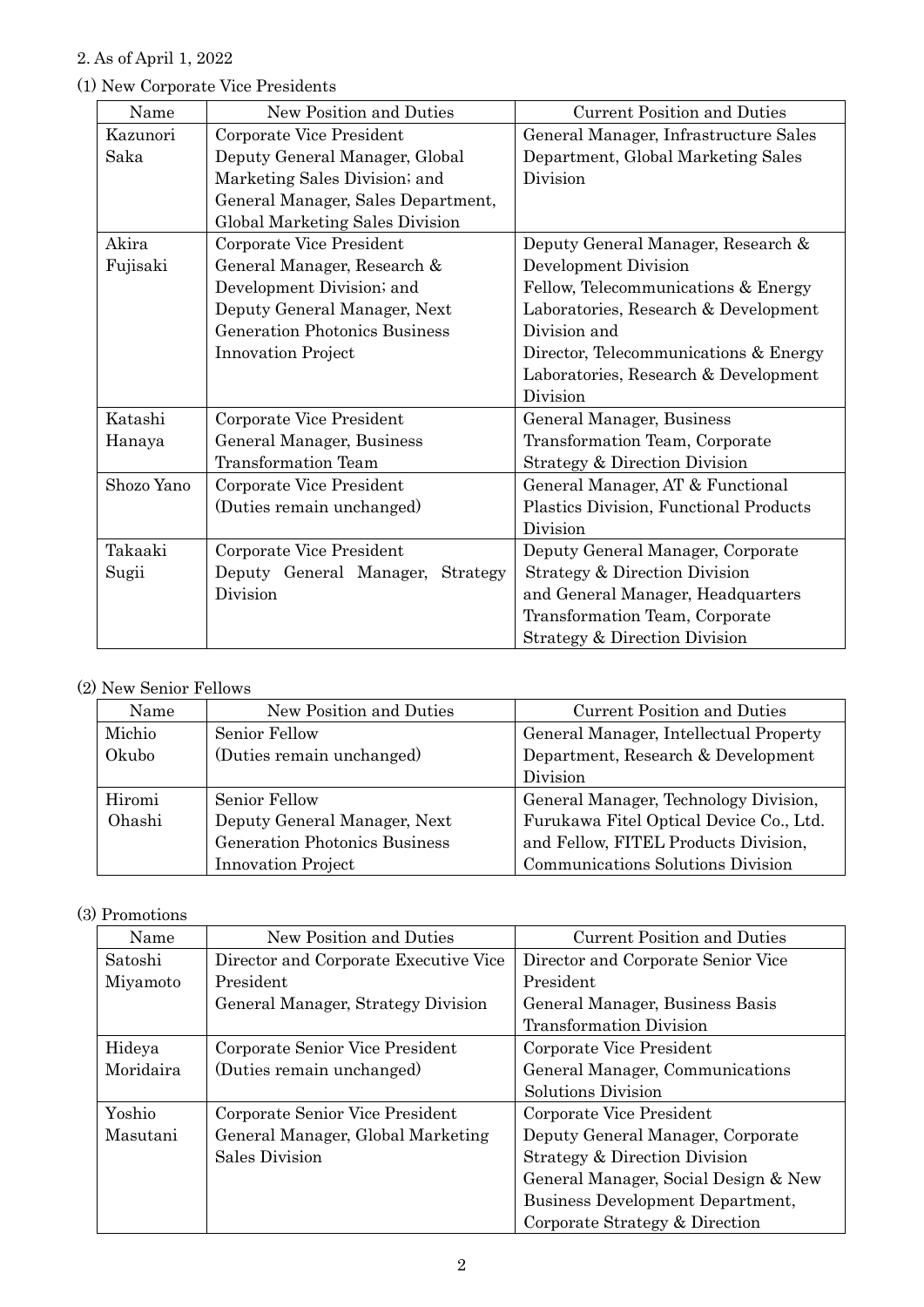# 2. As of April 1, 2022

| Name       | New Position and Duties              | <b>Current Position and Duties</b>     |
|------------|--------------------------------------|----------------------------------------|
|            |                                      |                                        |
| Kazunori   | Corporate Vice President             | General Manager, Infrastructure Sales  |
| Saka       | Deputy General Manager, Global       | Department, Global Marketing Sales     |
|            | Marketing Sales Division; and        | Division                               |
|            | General Manager, Sales Department,   |                                        |
|            | Global Marketing Sales Division      |                                        |
| Akira      | Corporate Vice President             | Deputy General Manager, Research &     |
| Fujisaki   | General Manager, Research &          | Development Division                   |
|            | Development Division; and            | Fellow, Telecommunications & Energy    |
|            | Deputy General Manager, Next         | Laboratories, Research & Development   |
|            | <b>Generation Photonics Business</b> | Division and                           |
|            | <b>Innovation Project</b>            | Director, Telecommunications & Energy  |
|            |                                      | Laboratories, Research & Development   |
|            |                                      | Division                               |
| Katashi    | Corporate Vice President             | General Manager, Business              |
| Hanaya     | General Manager, Business            | Transformation Team, Corporate         |
|            | <b>Transformation Team</b>           | Strategy & Direction Division          |
| Shozo Yano | Corporate Vice President             | General Manager, AT & Functional       |
|            | (Duties remain unchanged)            | Plastics Division, Functional Products |
|            |                                      | Division                               |
| Takaaki    | Corporate Vice President             | Deputy General Manager, Corporate      |
| Sugii      | Deputy General Manager,<br>Strategy  | Strategy & Direction Division          |
|            | Division                             | and General Manager, Headquarters      |
|            |                                      | Transformation Team, Corporate         |
|            |                                      | Strategy & Direction Division          |

## (1) New Corporate Vice Presidents

## (2) New Senior Fellows

| Name   | New Position and Duties              | <b>Current Position and Duties</b>      |
|--------|--------------------------------------|-----------------------------------------|
| Michio | Senior Fellow                        | General Manager, Intellectual Property  |
| Okubo  | (Duties remain unchanged)            | Department, Research & Development      |
|        |                                      | Division                                |
| Hiromi | Senior Fellow                        | General Manager, Technology Division,   |
| Ohashi | Deputy General Manager, Next         | Furukawa Fitel Optical Device Co., Ltd. |
|        | <b>Generation Photonics Business</b> | and Fellow, FITEL Products Division,    |
|        | <b>Innovation Project</b>            | Communications Solutions Division       |

# (3) Promotions

| Name      | New Position and Duties               | <b>Current Position and Duties</b>   |
|-----------|---------------------------------------|--------------------------------------|
| Satoshi   | Director and Corporate Executive Vice | Director and Corporate Senior Vice   |
| Miyamoto  | President                             | President                            |
|           | General Manager, Strategy Division    | General Manager, Business Basis      |
|           |                                       | <b>Transformation Division</b>       |
| Hideya    | Corporate Senior Vice President       | Corporate Vice President             |
| Moridaira | (Duties remain unchanged)             | General Manager, Communications      |
|           |                                       | Solutions Division                   |
| Yoshio    | Corporate Senior Vice President       | Corporate Vice President             |
| Masutani  | General Manager, Global Marketing     | Deputy General Manager, Corporate    |
|           | Sales Division                        | Strategy & Direction Division        |
|           |                                       | General Manager, Social Design & New |
|           |                                       | Business Development Department,     |
|           |                                       | Corporate Strategy & Direction       |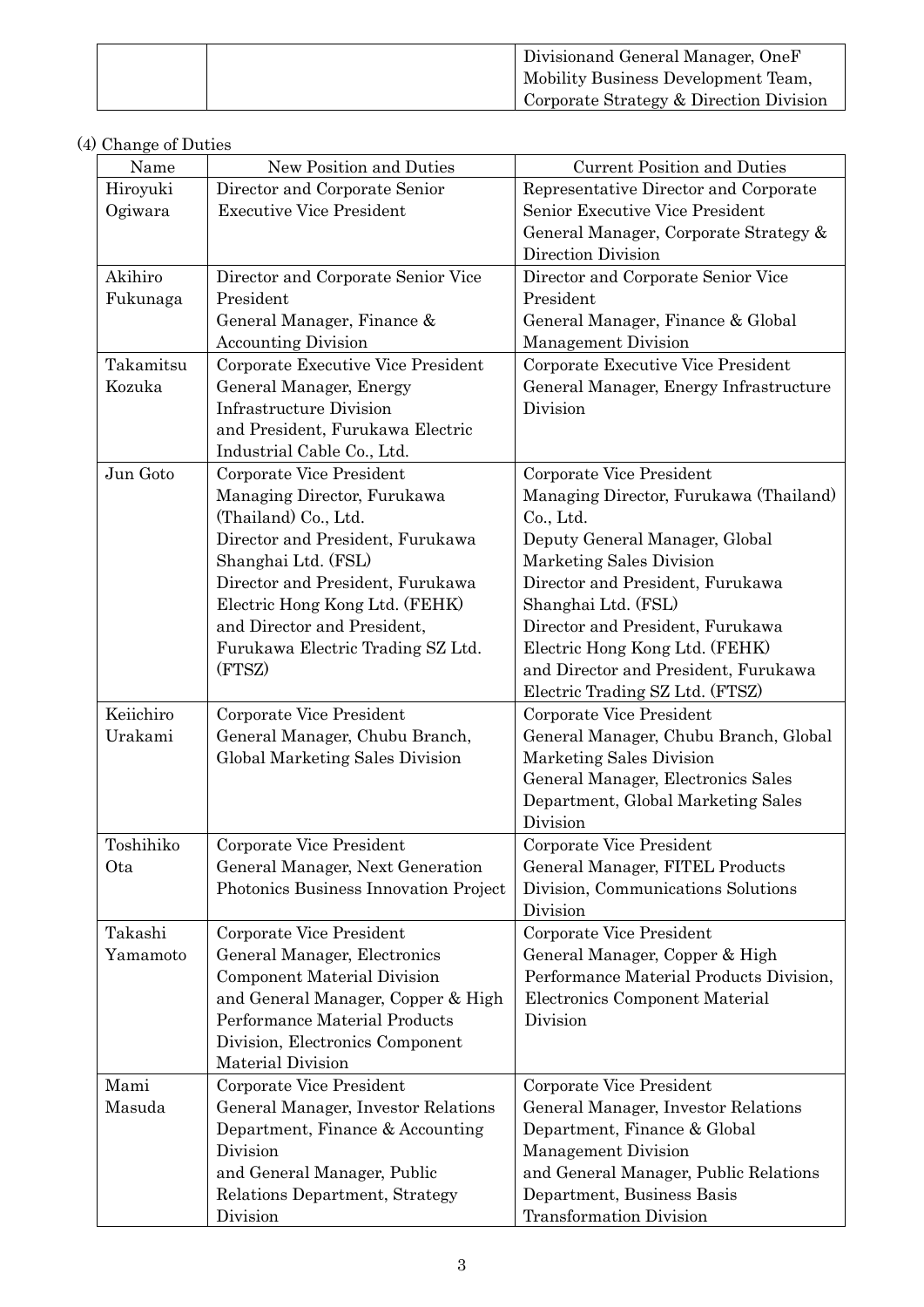|  | Divisionand General Manager, OneF       |
|--|-----------------------------------------|
|  | Mobility Business Development Team,     |
|  | Corporate Strategy & Direction Division |

# (4) Change of Duties

| Name      | New Position and Duties               | <b>Current Position and Duties</b>      |
|-----------|---------------------------------------|-----------------------------------------|
| Hiroyuki  | Director and Corporate Senior         | Representative Director and Corporate   |
| Ogiwara   | <b>Executive Vice President</b>       | Senior Executive Vice President         |
|           |                                       | General Manager, Corporate Strategy &   |
|           |                                       | Direction Division                      |
| Akihiro   | Director and Corporate Senior Vice    | Director and Corporate Senior Vice      |
| Fukunaga  | President                             | President                               |
|           | General Manager, Finance &            | General Manager, Finance & Global       |
|           | <b>Accounting Division</b>            | Management Division                     |
| Takamitsu | Corporate Executive Vice President    | Corporate Executive Vice President      |
| Kozuka    | General Manager, Energy               | General Manager, Energy Infrastructure  |
|           | <b>Infrastructure Division</b>        | Division                                |
|           | and President, Furukawa Electric      |                                         |
|           | Industrial Cable Co., Ltd.            |                                         |
| Jun Goto  | Corporate Vice President              | Corporate Vice President                |
|           | Managing Director, Furukawa           | Managing Director, Furukawa (Thailand)  |
|           | (Thailand) Co., Ltd.                  | Co., Ltd.                               |
|           | Director and President, Furukawa      | Deputy General Manager, Global          |
|           | Shanghai Ltd. (FSL)                   | Marketing Sales Division                |
|           | Director and President, Furukawa      | Director and President, Furukawa        |
|           | Electric Hong Kong Ltd. (FEHK)        | Shanghai Ltd. (FSL)                     |
|           | and Director and President,           | Director and President, Furukawa        |
|           | Furukawa Electric Trading SZ Ltd.     | Electric Hong Kong Ltd. (FEHK)          |
|           | (FTSZ)                                | and Director and President, Furukawa    |
|           |                                       | Electric Trading SZ Ltd. (FTSZ)         |
| Keiichiro | Corporate Vice President              | Corporate Vice President                |
| Urakami   | General Manager, Chubu Branch,        | General Manager, Chubu Branch, Global   |
|           | Global Marketing Sales Division       | Marketing Sales Division                |
|           |                                       | General Manager, Electronics Sales      |
|           |                                       | Department, Global Marketing Sales      |
|           |                                       | Division                                |
| Toshihiko | Corporate Vice President              | Corporate Vice President                |
| Ota       | General Manager, Next Generation      | General Manager, FITEL Products         |
|           | Photonics Business Innovation Project | Division, Communications Solutions      |
|           |                                       | Division                                |
| Takashi   | Corporate Vice President              | Corporate Vice President                |
| Yamamoto  | General Manager, Electronics          | General Manager, Copper & High          |
|           | <b>Component Material Division</b>    | Performance Material Products Division, |
|           | and General Manager, Copper & High    | Electronics Component Material          |
|           | Performance Material Products         | Division                                |
|           | Division, Electronics Component       |                                         |
|           | <b>Material Division</b>              |                                         |
| Mami      | Corporate Vice President              | Corporate Vice President                |
| Masuda    | General Manager, Investor Relations   | General Manager, Investor Relations     |
|           | Department, Finance & Accounting      | Department, Finance & Global            |
|           | Division                              | Management Division                     |
|           | and General Manager, Public           | and General Manager, Public Relations   |
|           | Relations Department, Strategy        | Department, Business Basis              |
|           | Division                              | <b>Transformation Division</b>          |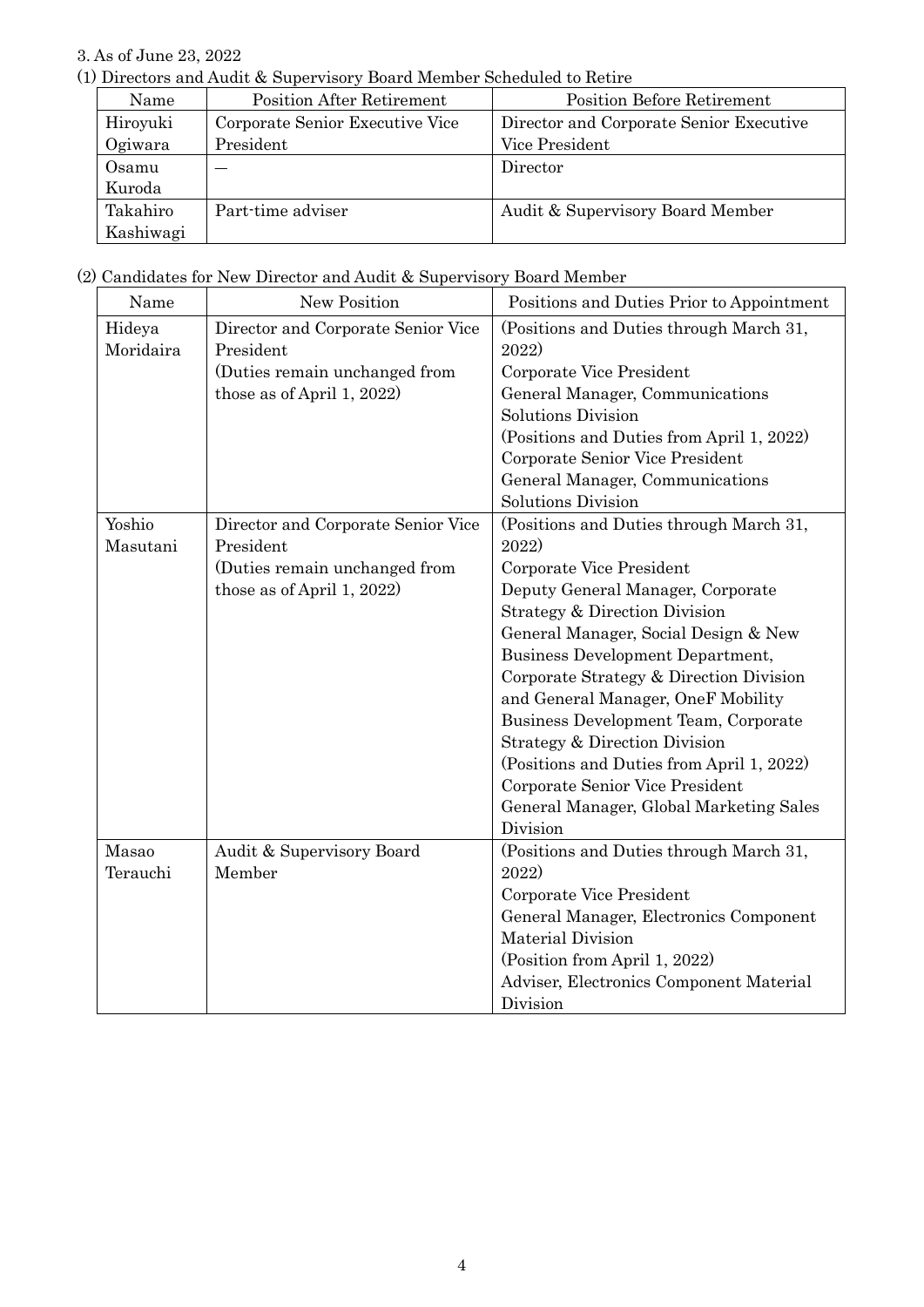## 3. As of June 23, 2022

(1) Directors and Audit & Supervisory Board Member Scheduled to Retire

| Name      | Position After Retirement       | <b>Position Before Retirement</b>       |
|-----------|---------------------------------|-----------------------------------------|
| Hiroyuki  | Corporate Senior Executive Vice | Director and Corporate Senior Executive |
| Ogiwara   | President                       | Vice President                          |
| Osamu     |                                 | Director                                |
| Kuroda    |                                 |                                         |
| Takahiro  | Part-time adviser               | Audit & Supervisory Board Member        |
| Kashiwagi |                                 |                                         |

(2) Candidates for New Director and Audit & Supervisory Board Member

| Name                | New Position                                    | Positions and Duties Prior to Appointment        |
|---------------------|-------------------------------------------------|--------------------------------------------------|
| Hideya<br>Moridaira | Director and Corporate Senior Vice<br>President | (Positions and Duties through March 31,<br>2022) |
|                     | (Duties remain unchanged from                   | Corporate Vice President                         |
|                     | those as of April 1, 2022)                      | General Manager, Communications                  |
|                     |                                                 | <b>Solutions Division</b>                        |
|                     |                                                 | (Positions and Duties from April 1, 2022)        |
|                     |                                                 | Corporate Senior Vice President                  |
|                     |                                                 | General Manager, Communications                  |
|                     |                                                 | <b>Solutions Division</b>                        |
| Yoshio              | Director and Corporate Senior Vice              | (Positions and Duties through March 31,          |
| Masutani            | President                                       | 2022)                                            |
|                     | (Duties remain unchanged from                   | Corporate Vice President                         |
|                     | those as of April 1, 2022)                      | Deputy General Manager, Corporate                |
|                     |                                                 | Strategy & Direction Division                    |
|                     |                                                 | General Manager, Social Design & New             |
|                     |                                                 | <b>Business Development Department,</b>          |
|                     |                                                 | Corporate Strategy & Direction Division          |
|                     |                                                 | and General Manager, OneF Mobility               |
|                     |                                                 | Business Development Team, Corporate             |
|                     |                                                 | Strategy & Direction Division                    |
|                     |                                                 | (Positions and Duties from April 1, 2022)        |
|                     |                                                 | Corporate Senior Vice President                  |
|                     |                                                 | General Manager, Global Marketing Sales          |
|                     |                                                 | Division                                         |
| Masao               | Audit & Supervisory Board                       | (Positions and Duties through March 31,          |
| Terauchi            | Member                                          | 2022)                                            |
|                     |                                                 | Corporate Vice President                         |
|                     |                                                 | General Manager, Electronics Component           |
|                     |                                                 | <b>Material Division</b>                         |
|                     |                                                 | (Position from April 1, 2022)                    |
|                     |                                                 | Adviser, Electronics Component Material          |
|                     |                                                 | Division                                         |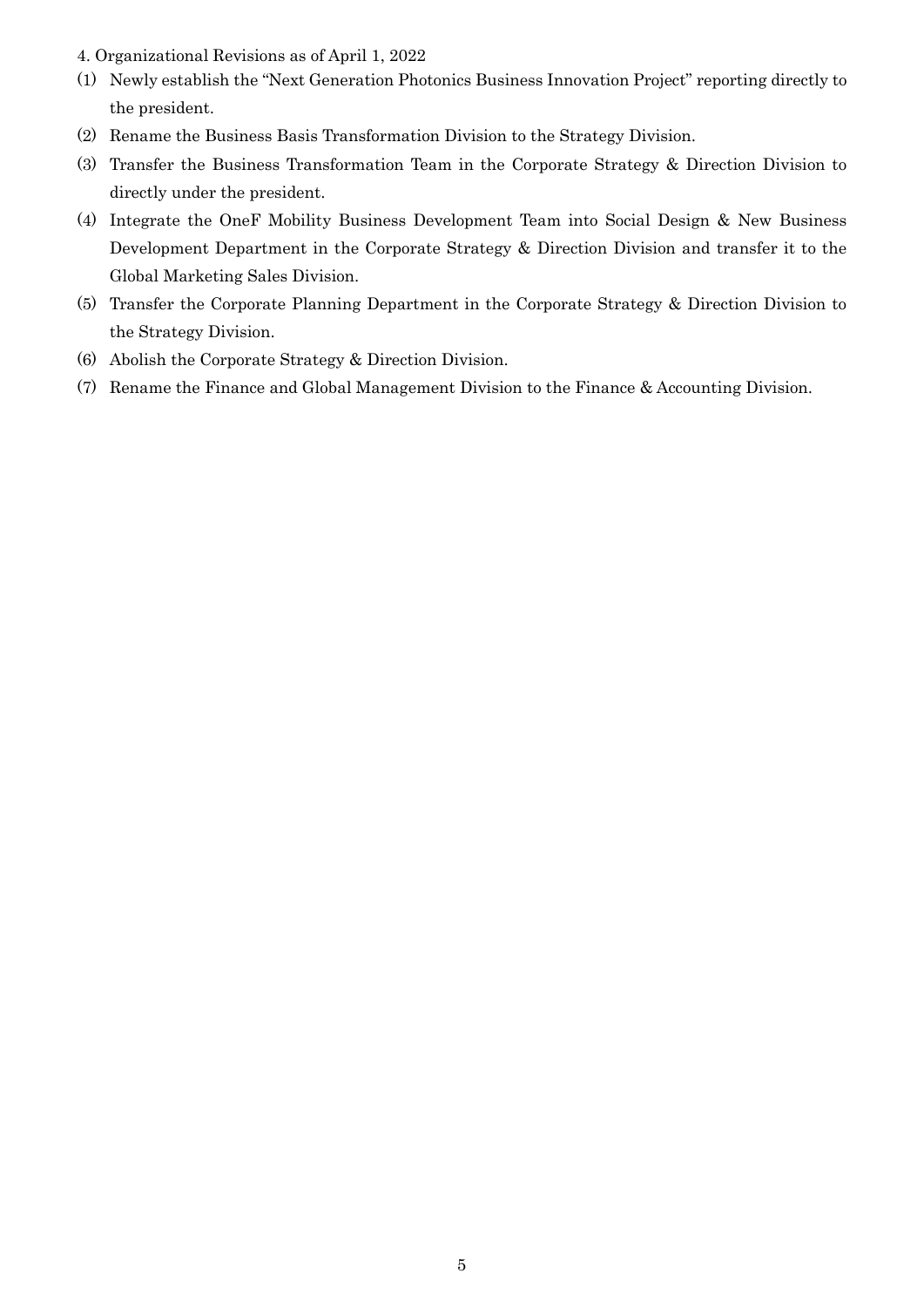- 4. Organizational Revisions as of April 1, 2022
- (1) Newly establish the "Next Generation Photonics Business Innovation Project" reporting directly to the president.
- (2) Rename the Business Basis Transformation Division to the Strategy Division.
- (3) Transfer the Business Transformation Team in the Corporate Strategy & Direction Division to directly under the president.
- (4) Integrate the OneF Mobility Business Development Team into Social Design & New Business Development Department in the Corporate Strategy & Direction Division and transfer it to the Global Marketing Sales Division.
- (5) Transfer the Corporate Planning Department in the Corporate Strategy & Direction Division to the Strategy Division.
- (6) Abolish the Corporate Strategy & Direction Division.
- (7) Rename the Finance and Global Management Division to the Finance & Accounting Division.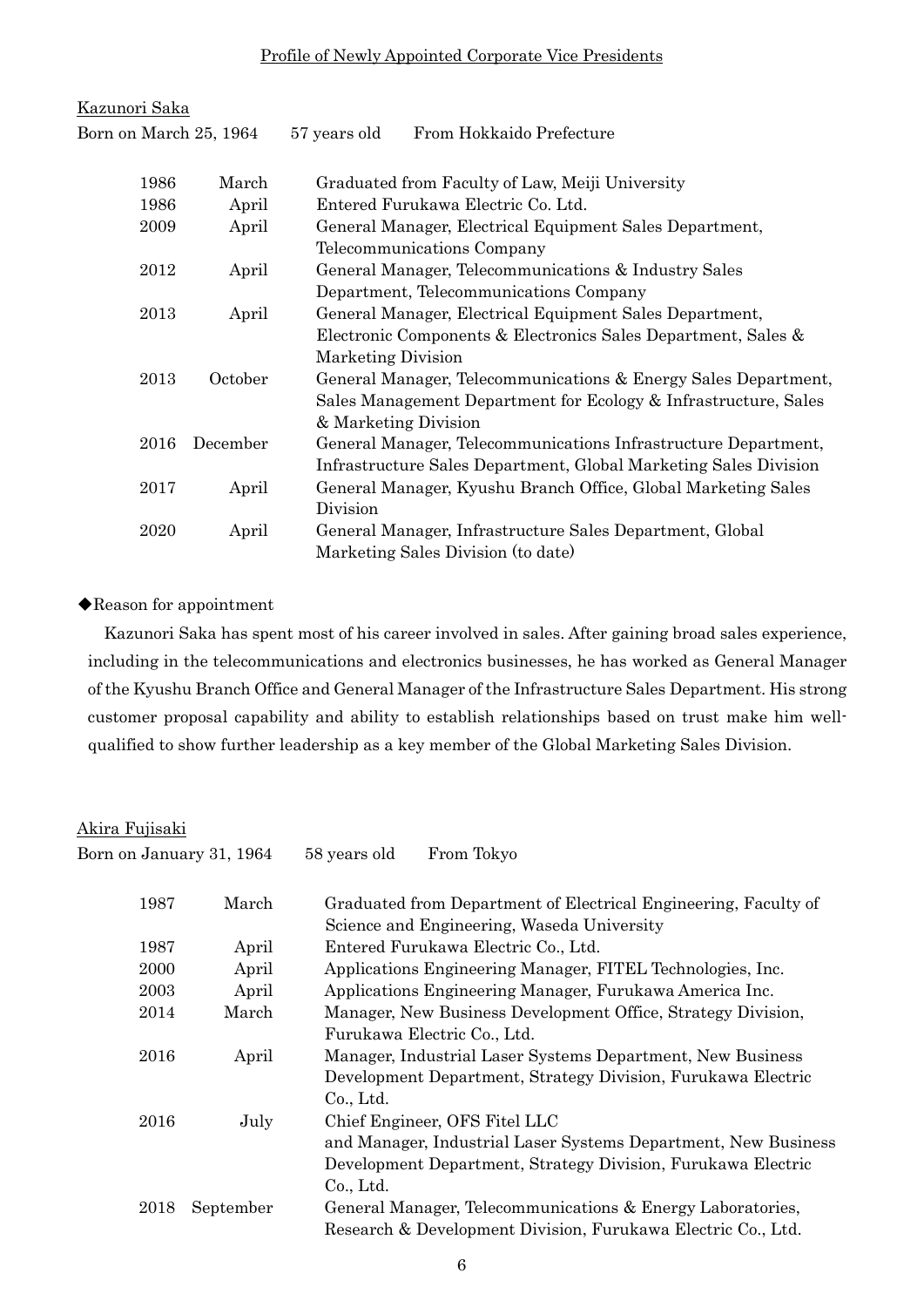## Profile of Newly Appointed Corporate Vice Presidents

| <u>Kazunori Saka</u>   |          |                                                                  |
|------------------------|----------|------------------------------------------------------------------|
| Born on March 25, 1964 |          | From Hokkaido Prefecture<br>57 years old                         |
|                        |          |                                                                  |
| 1986                   | March    | Graduated from Faculty of Law, Meiji University                  |
| 1986                   | April    | Entered Furukawa Electric Co. Ltd.                               |
| 2009                   | April    | General Manager, Electrical Equipment Sales Department,          |
|                        |          | Telecommunications Company                                       |
| 2012                   | April    | General Manager, Telecommunications & Industry Sales             |
|                        |          | Department, Telecommunications Company                           |
| 2013                   | April    | General Manager, Electrical Equipment Sales Department,          |
|                        |          | Electronic Components & Electronics Sales Department, Sales &    |
|                        |          | Marketing Division                                               |
| 2013                   | October  | General Manager, Telecommunications & Energy Sales Department,   |
|                        |          | Sales Management Department for Ecology & Infrastructure, Sales  |
|                        |          | & Marketing Division                                             |
| 2016                   | December | General Manager, Telecommunications Infrastructure Department,   |
|                        |          | Infrastructure Sales Department, Global Marketing Sales Division |
| 2017                   | April    | General Manager, Kyushu Branch Office, Global Marketing Sales    |
|                        |          | Division                                                         |
| 2020                   | April    | General Manager, Infrastructure Sales Department, Global         |
|                        |          | Marketing Sales Division (to date)                               |

## ◆Reason for appointment

Kazunori Saka has spent most of his career involved in sales. After gaining broad sales experience, including in the telecommunications and electronics businesses, he has worked as General Manager of the Kyushu Branch Office and General Manager of the Infrastructure Sales Department. His strong customer proposal capability and ability to establish relationships based on trust make him wellqualified to show further leadership as a key member of the Global Marketing Sales Division.

## Akira Fujisaki

| Born on January 31, 1964 |           | From Tokyo<br>58 years old                                                        |
|--------------------------|-----------|-----------------------------------------------------------------------------------|
| 1987                     | March     | Graduated from Department of Electrical Engineering, Faculty of                   |
| 1987                     | April     | Science and Engineering, Waseda University<br>Entered Furukawa Electric Co., Ltd. |
| 2000                     | April     | Applications Engineering Manager, FITEL Technologies, Inc.                        |
| 2003                     | April     | Applications Engineering Manager, Furukawa America Inc.                           |
| 2014                     | March     | Manager, New Business Development Office, Strategy Division,                      |
|                          |           | Furukawa Electric Co., Ltd.                                                       |
| 2016                     | April     | Manager, Industrial Laser Systems Department, New Business                        |
|                          |           | Development Department, Strategy Division, Furukawa Electric                      |
|                          |           | Co., Ltd.                                                                         |
| 2016                     | July      | Chief Engineer, OFS Fitel LLC                                                     |
|                          |           | and Manager, Industrial Laser Systems Department, New Business                    |
|                          |           | Development Department, Strategy Division, Furukawa Electric                      |
|                          |           | Co., Ltd.                                                                         |
| 2018                     | September | General Manager, Telecommunications & Energy Laboratories,                        |
|                          |           | Research & Development Division, Furukawa Electric Co., Ltd.                      |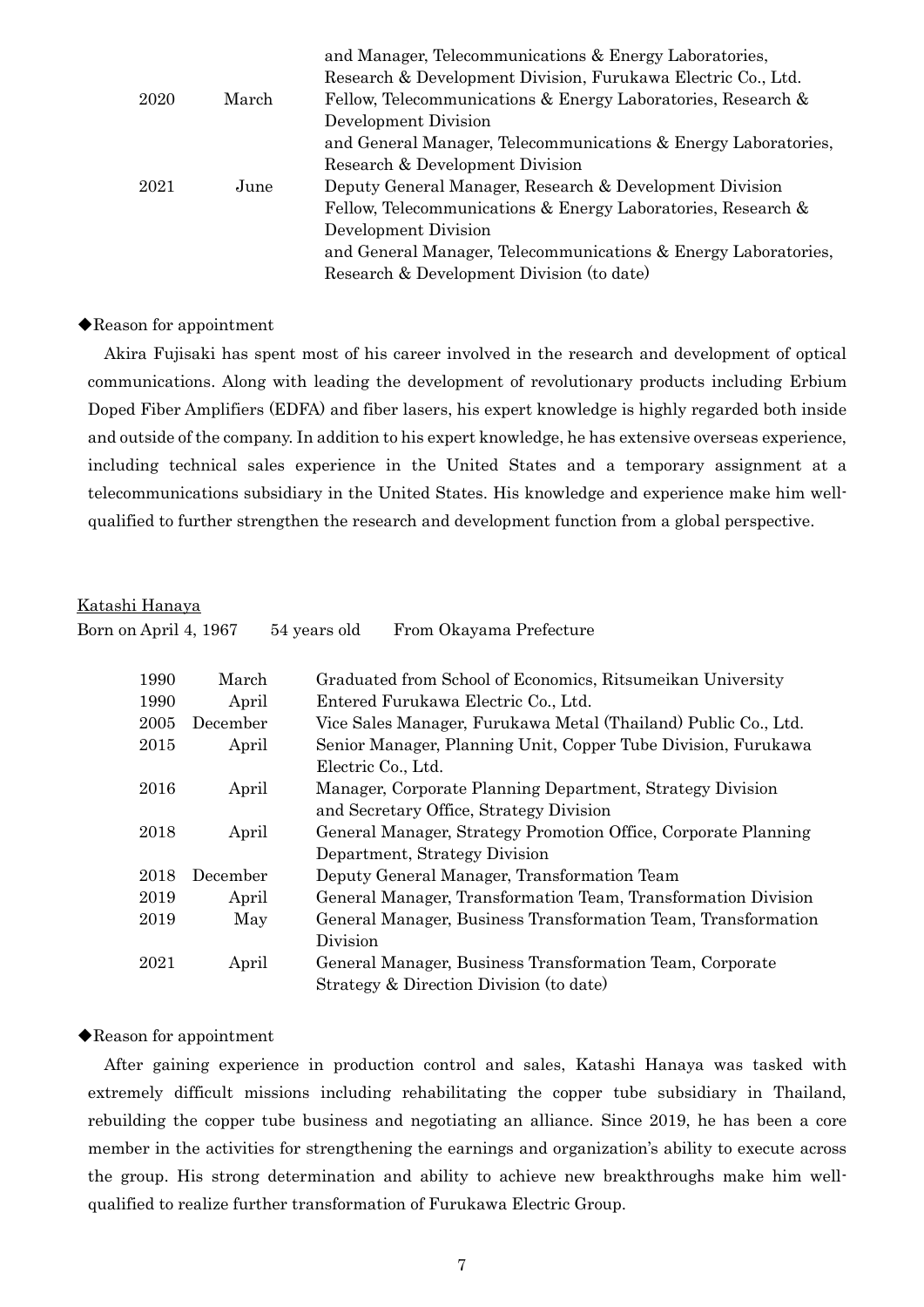|      |       | and Manager, Telecommunications & Energy Laboratories,         |
|------|-------|----------------------------------------------------------------|
|      |       | Research & Development Division, Furukawa Electric Co., Ltd.   |
| 2020 | March | Fellow, Telecommunications & Energy Laboratories, Research &   |
|      |       | Development Division                                           |
|      |       | and General Manager, Telecommunications & Energy Laboratories, |
|      |       | Research & Development Division                                |
| 2021 | June  | Deputy General Manager, Research & Development Division        |
|      |       | Fellow, Telecommunications & Energy Laboratories, Research &   |
|      |       | Development Division                                           |
|      |       | and General Manager, Telecommunications & Energy Laboratories, |
|      |       | Research & Development Division (to date)                      |

#### ◆Reason for appointment

Akira Fujisaki has spent most of his career involved in the research and development of optical communications. Along with leading the development of revolutionary products including Erbium Doped Fiber Amplifiers (EDFA) and fiber lasers, his expert knowledge is highly regarded both inside and outside of the company. In addition to his expert knowledge, he has extensive overseas experience, including technical sales experience in the United States and a temporary assignment at a telecommunications subsidiary in the United States. His knowledge and experience make him wellqualified to further strengthen the research and development function from a global perspective.

#### Katashi Hanaya

| Born on April 4, 1967 |                                                                        | 54 years old<br>From Okayama Prefecture                        |  |
|-----------------------|------------------------------------------------------------------------|----------------------------------------------------------------|--|
| 1990                  | March                                                                  | Graduated from School of Economics, Ritsumeikan University     |  |
| 1990                  | April                                                                  | Entered Furukawa Electric Co., Ltd.                            |  |
| 2005                  | December                                                               | Vice Sales Manager, Furukawa Metal (Thailand) Public Co., Ltd. |  |
| 2015                  | Senior Manager, Planning Unit, Copper Tube Division, Furukawa<br>April |                                                                |  |
|                       |                                                                        | Electric Co., Ltd.                                             |  |
| 2016                  | April                                                                  | Manager, Corporate Planning Department, Strategy Division      |  |
|                       |                                                                        | and Secretary Office, Strategy Division                        |  |
| 2018                  | April                                                                  | General Manager, Strategy Promotion Office, Corporate Planning |  |
|                       |                                                                        | Department, Strategy Division                                  |  |
| 2018                  | December                                                               | Deputy General Manager, Transformation Team                    |  |
| 2019                  | April                                                                  | General Manager, Transformation Team, Transformation Division  |  |
| 2019                  | May                                                                    | General Manager, Business Transformation Team, Transformation  |  |
|                       |                                                                        | Division                                                       |  |
| 2021                  | April                                                                  | General Manager, Business Transformation Team, Corporate       |  |
|                       |                                                                        | Strategy & Direction Division (to date)                        |  |

## ◆Reason for appointment

After gaining experience in production control and sales, Katashi Hanaya was tasked with extremely difficult missions including rehabilitating the copper tube subsidiary in Thailand, rebuilding the copper tube business and negotiating an alliance. Since 2019, he has been a core member in the activities for strengthening the earnings and organization's ability to execute across the group. His strong determination and ability to achieve new breakthroughs make him wellqualified to realize further transformation of Furukawa Electric Group.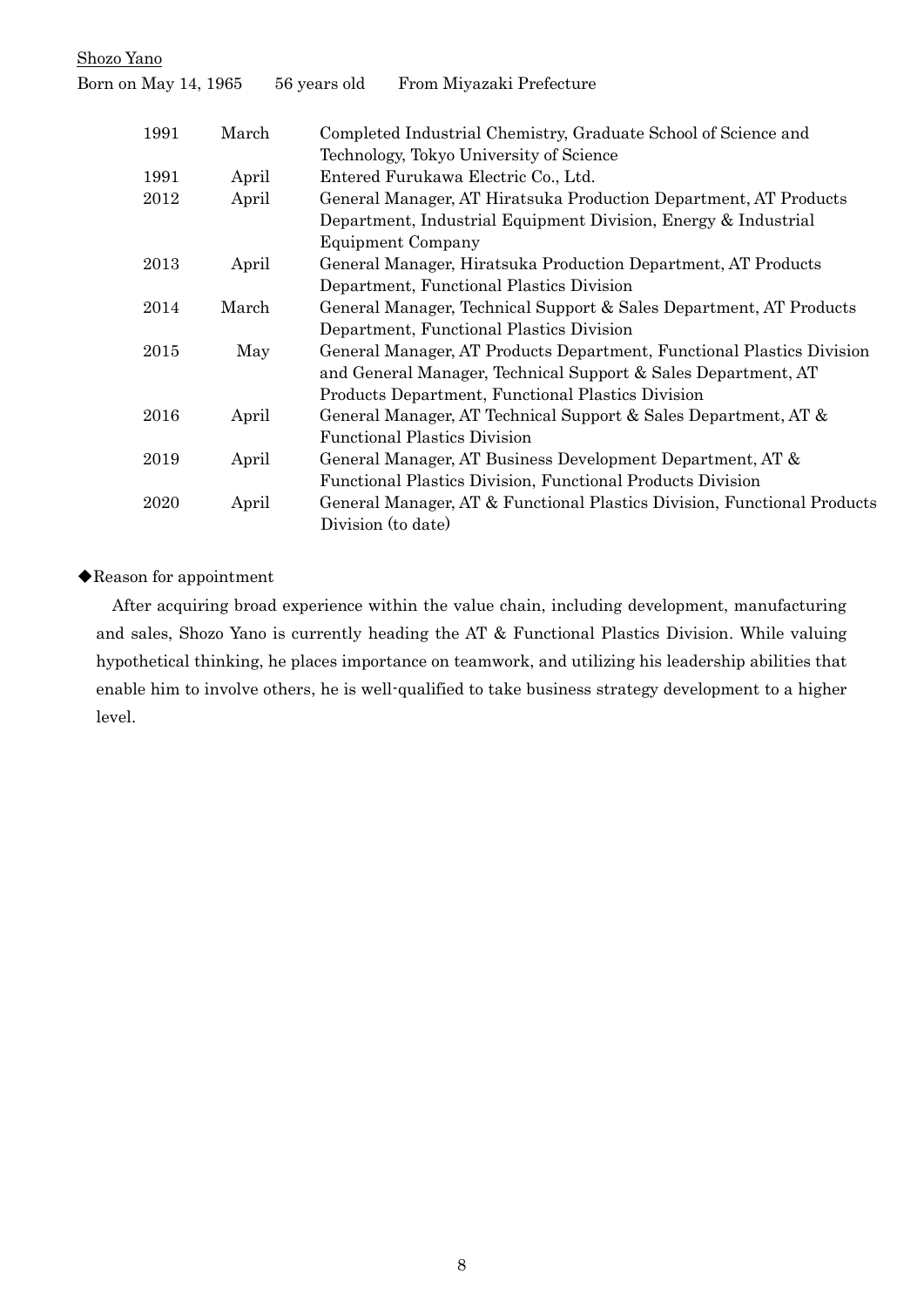Shozo Yano Born on May 14, 1965 56 years old From Miyazaki Prefecture 1991 March Completed Industrial Chemistry, Graduate School of Science and Technology, Tokyo University of Science 1991 April Entered Furukawa Electric Co., Ltd. 2012 April General Manager, AT Hiratsuka Production Department, AT Products Department, Industrial Equipment Division, Energy & Industrial Equipment Company 2013 April General Manager, Hiratsuka Production Department, AT Products Department, Functional Plastics Division 2014 March General Manager, Technical Support & Sales Department, AT Products Department, Functional Plastics Division 2015 May General Manager, AT Products Department, Functional Plastics Division and General Manager, Technical Support & Sales Department, AT Products Department, Functional Plastics Division 2016 April General Manager, AT Technical Support & Sales Department, AT & Functional Plastics Division 2019 April General Manager, AT Business Development Department, AT & Functional Plastics Division, Functional Products Division 2020 April General Manager, AT & Functional Plastics Division, Functional Products Division (to date)

◆Reason for appointment

After acquiring broad experience within the value chain, including development, manufacturing and sales, Shozo Yano is currently heading the AT & Functional Plastics Division. While valuing hypothetical thinking, he places importance on teamwork, and utilizing his leadership abilities that enable him to involve others, he is well-qualified to take business strategy development to a higher level.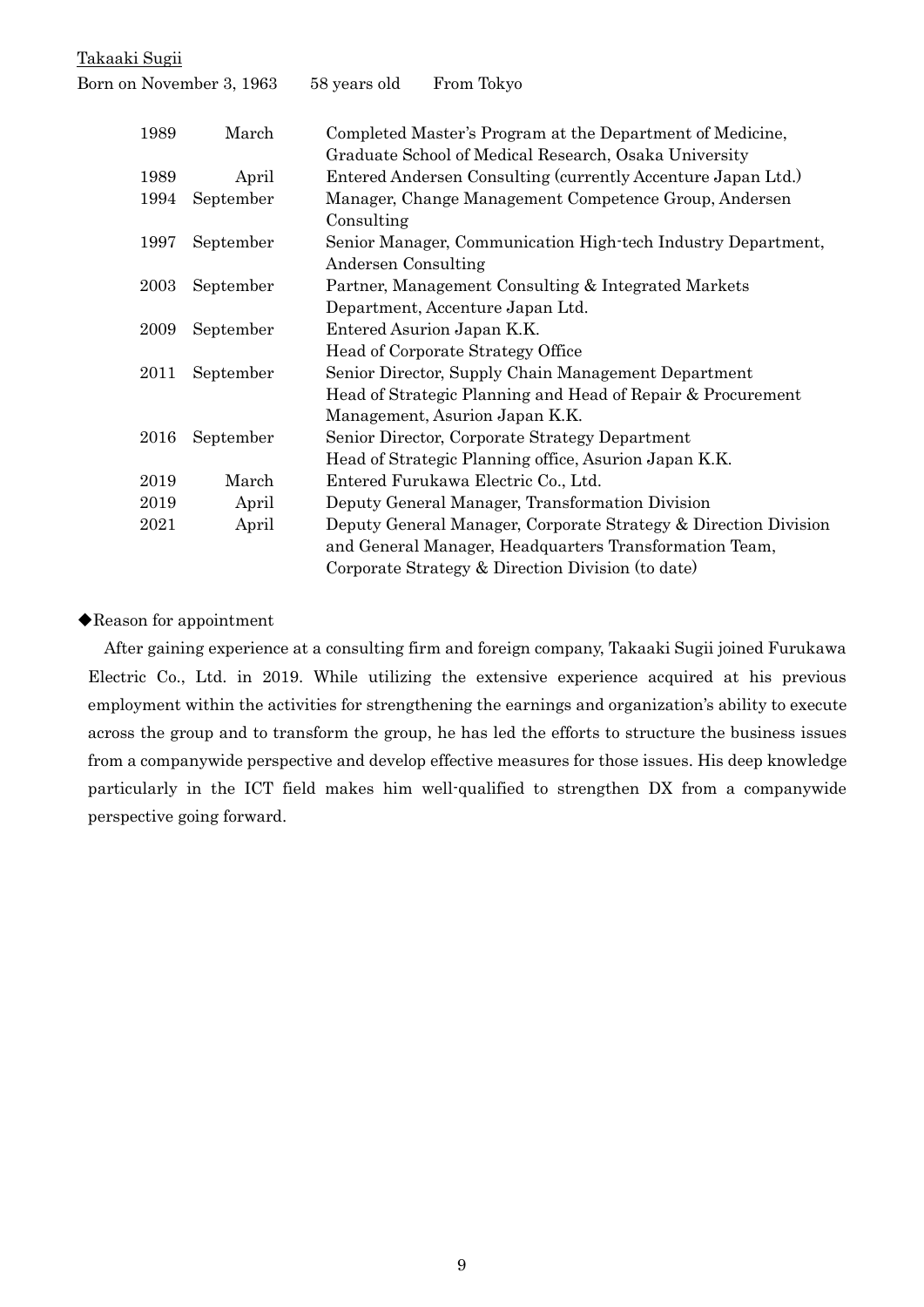Takaaki Sugii

| Born on November 3, 1963 |           | 58 years old<br>From Tokyo                                                                                                                                                     |  |
|--------------------------|-----------|--------------------------------------------------------------------------------------------------------------------------------------------------------------------------------|--|
| 1989                     | March     | Completed Master's Program at the Department of Medicine,<br>Graduate School of Medical Research, Osaka University                                                             |  |
| 1989                     | April     | Entered Andersen Consulting (currently Accenture Japan Ltd.)                                                                                                                   |  |
| 1994                     | September | Manager, Change Management Competence Group, Andersen<br>Consulting                                                                                                            |  |
| 1997                     | September | Senior Manager, Communication High-tech Industry Department,<br>Andersen Consulting                                                                                            |  |
| 2003                     | September | Partner, Management Consulting & Integrated Markets<br>Department, Accenture Japan Ltd.                                                                                        |  |
| 2009                     | September | Entered Asurion Japan K.K.<br>Head of Corporate Strategy Office                                                                                                                |  |
| 2011                     | September | Senior Director, Supply Chain Management Department<br>Head of Strategic Planning and Head of Repair & Procurement<br>Management, Asurion Japan K.K.                           |  |
| 2016                     | September | Senior Director, Corporate Strategy Department<br>Head of Strategic Planning office, Asurion Japan K.K.                                                                        |  |
| 2019                     | March     | Entered Furukawa Electric Co., Ltd.                                                                                                                                            |  |
| 2019                     | April     | Deputy General Manager, Transformation Division                                                                                                                                |  |
| 2021                     | April     | Deputy General Manager, Corporate Strategy & Direction Division<br>and General Manager, Headquarters Transformation Team,<br>Corporate Strategy & Direction Division (to date) |  |

◆Reason for appointment

After gaining experience at a consulting firm and foreign company, Takaaki Sugii joined Furukawa Electric Co., Ltd. in 2019. While utilizing the extensive experience acquired at his previous employment within the activities for strengthening the earnings and organization's ability to execute across the group and to transform the group, he has led the efforts to structure the business issues from a companywide perspective and develop effective measures for those issues. His deep knowledge particularly in the ICT field makes him well-qualified to strengthen DX from a companywide perspective going forward.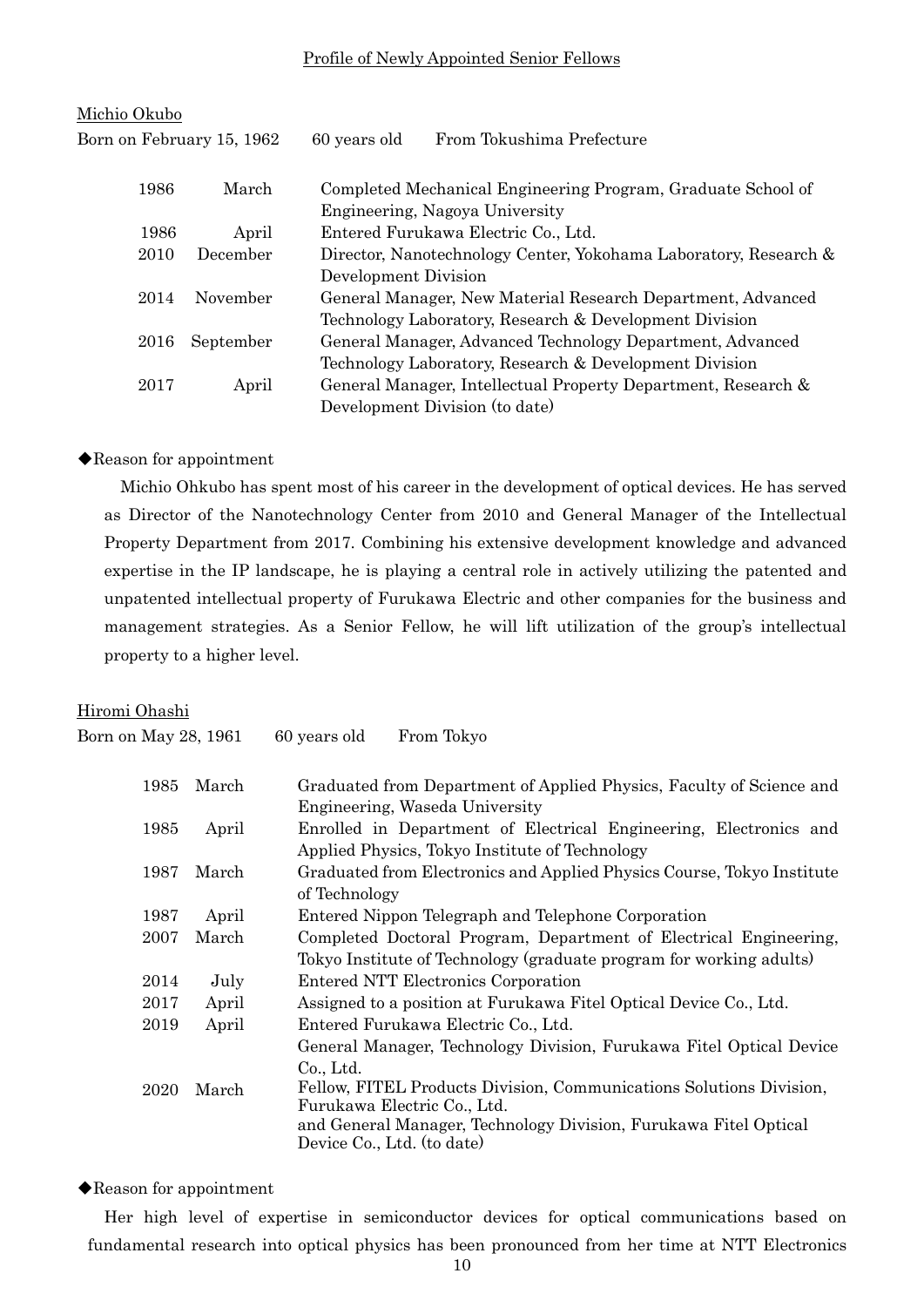## Profile of Newly Appointed Senior Fellows

| Michio Okubo              |           |                      |                                                                  |
|---------------------------|-----------|----------------------|------------------------------------------------------------------|
| Born on February 15, 1962 |           | 60 years old         | From Tokushima Prefecture                                        |
| 1986                      | March     |                      | Completed Mechanical Engineering Program, Graduate School of     |
|                           |           |                      | Engineering, Nagoya University                                   |
| 1986                      | April     |                      | Entered Furukawa Electric Co., Ltd.                              |
| 2010                      | December  |                      | Director, Nanotechnology Center, Yokohama Laboratory, Research & |
|                           |           | Development Division |                                                                  |
| 2014                      | November  |                      | General Manager, New Material Research Department, Advanced      |
|                           |           |                      | Technology Laboratory, Research & Development Division           |
| 2016                      | September |                      | General Manager, Advanced Technology Department, Advanced        |
|                           |           |                      | Technology Laboratory, Research & Development Division           |
| 2017                      | April     |                      | General Manager, Intellectual Property Department, Research &    |
|                           |           |                      | Development Division (to date)                                   |

#### ◆Reason for appointment

Michio Ohkubo has spent most of his career in the development of optical devices. He has served as Director of the Nanotechnology Center from 2010 and General Manager of the Intellectual Property Department from 2017. Combining his extensive development knowledge and advanced expertise in the IP landscape, he is playing a central role in actively utilizing the patented and unpatented intellectual property of Furukawa Electric and other companies for the business and management strategies. As a Senior Fellow, he will lift utilization of the group's intellectual property to a higher level.

## Hiromi Ohashi

Born on May 28, 1961 60 years old From Tokyo

| 1985 | March | Graduated from Department of Applied Physics, Faculty of Science and                            |
|------|-------|-------------------------------------------------------------------------------------------------|
|      |       | Engineering, Waseda University                                                                  |
| 1985 | April | Enrolled in Department of Electrical Engineering, Electronics and                               |
|      |       | Applied Physics, Tokyo Institute of Technology                                                  |
| 1987 | March | Graduated from Electronics and Applied Physics Course, Tokyo Institute                          |
|      |       | of Technology                                                                                   |
| 1987 | April | Entered Nippon Telegraph and Telephone Corporation                                              |
| 2007 | March | Completed Doctoral Program, Department of Electrical Engineering,                               |
|      |       | Tokyo Institute of Technology (graduate program for working adults)                             |
| 2014 | July  | Entered NTT Electronics Corporation                                                             |
| 2017 | April | Assigned to a position at Furukawa Fitel Optical Device Co., Ltd.                               |
| 2019 | April | Entered Furukawa Electric Co., Ltd.                                                             |
|      |       | General Manager, Technology Division, Furukawa Fitel Optical Device                             |
|      |       | Co., Ltd.                                                                                       |
| 2020 | March | Fellow, FITEL Products Division, Communications Solutions Division,                             |
|      |       | Furukawa Electric Co., Ltd.<br>and General Manager, Technology Division, Furukawa Fitel Optical |
|      |       | Device Co., Ltd. (to date)                                                                      |
|      |       |                                                                                                 |

#### ◆Reason for appointment

Her high level of expertise in semiconductor devices for optical communications based on fundamental research into optical physics has been pronounced from her time at NTT Electronics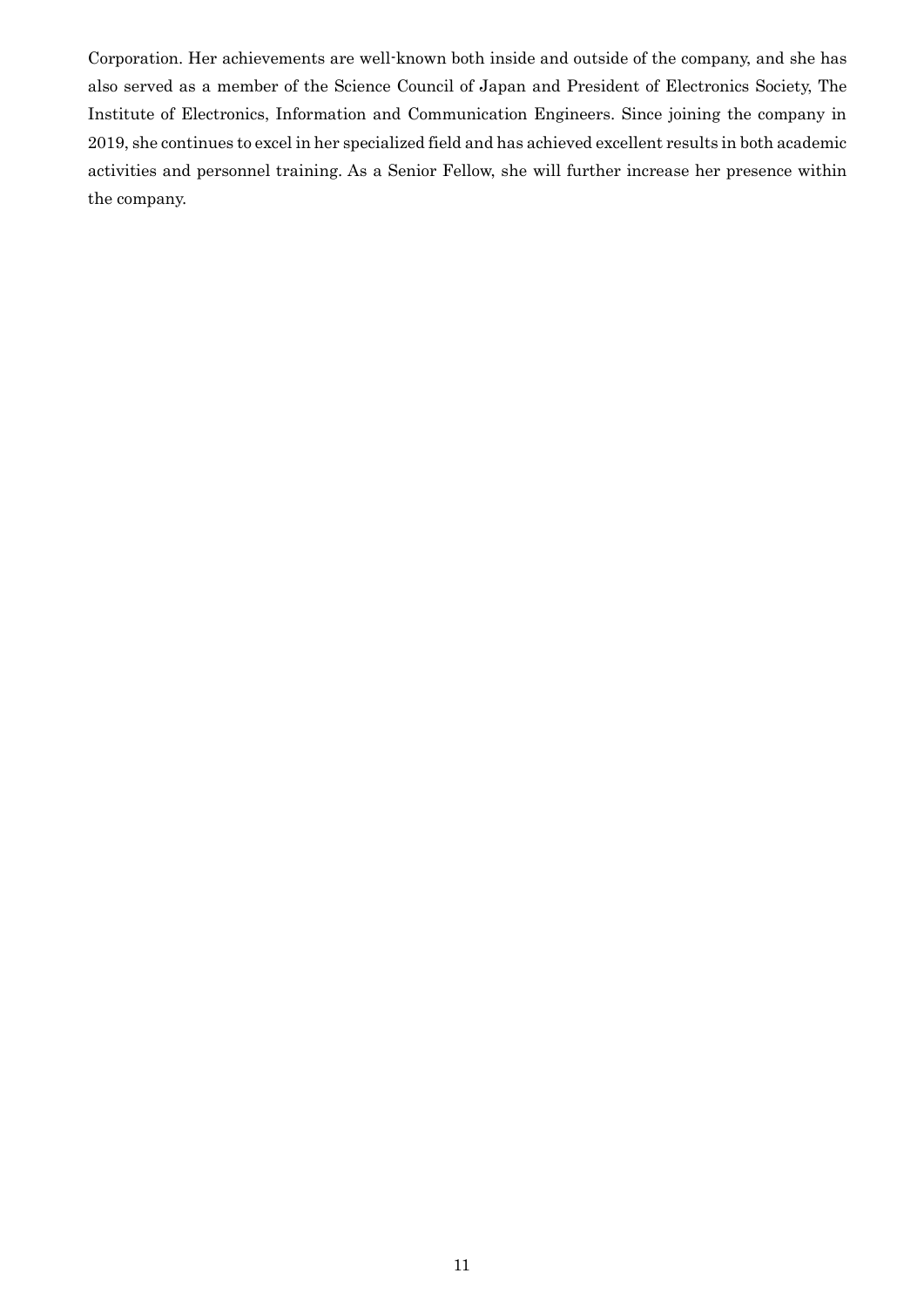Corporation. Her achievements are well-known both inside and outside of the company, and she has also served as a member of the Science Council of Japan and President of Electronics Society, The Institute of Electronics, Information and Communication Engineers. Since joining the company in 2019, she continues to excel in her specialized field and has achieved excellent results in both academic activities and personnel training. As a Senior Fellow, she will further increase her presence within the company.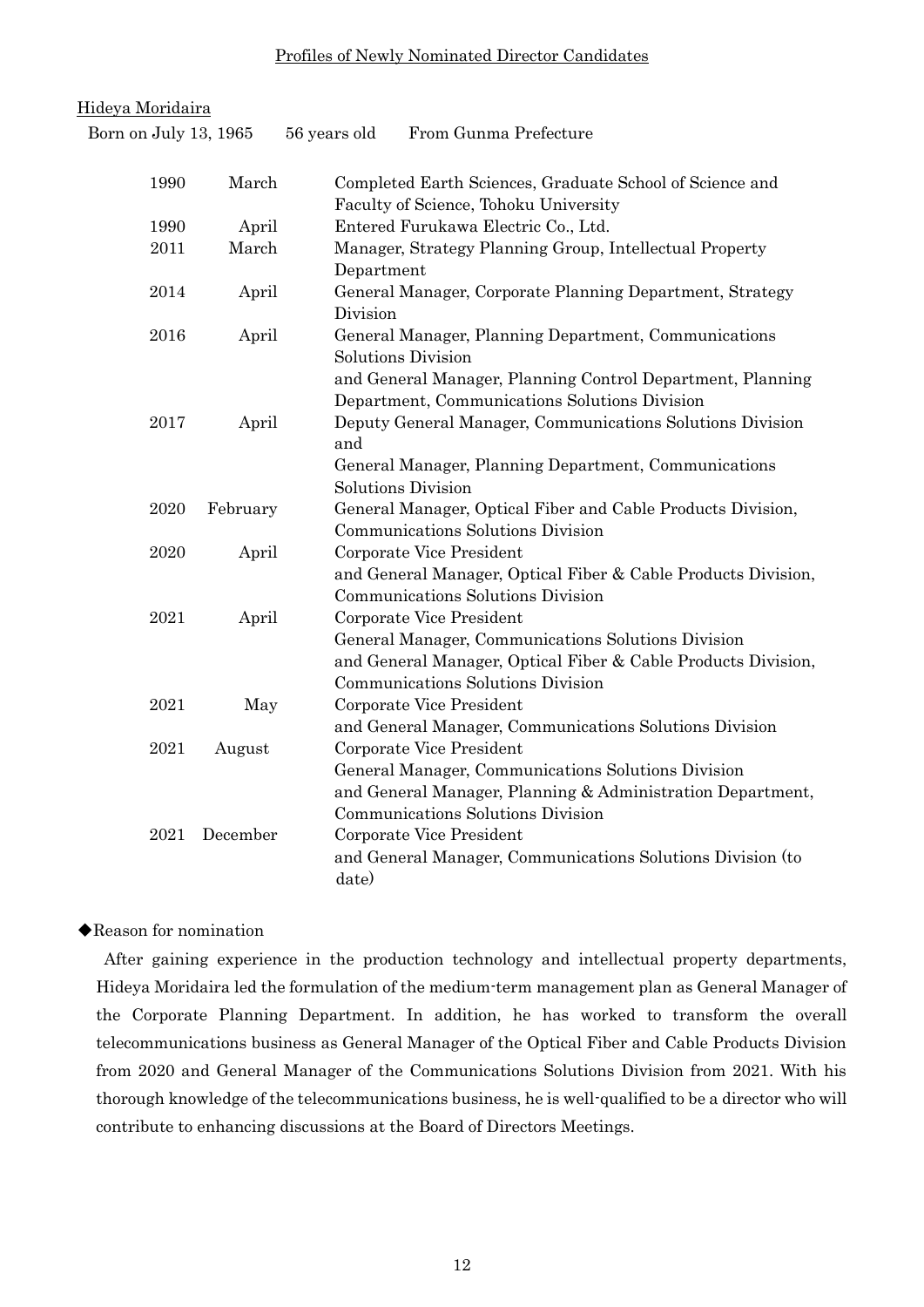### Profiles of Newly Nominated Director Candidates

| Hideya Moridaira      |          |                                                                                                                                                                                      |
|-----------------------|----------|--------------------------------------------------------------------------------------------------------------------------------------------------------------------------------------|
| Born on July 13, 1965 |          | From Gunma Prefecture<br>56 years old                                                                                                                                                |
| 1990                  | March    | Completed Earth Sciences, Graduate School of Science and<br>Faculty of Science, Tohoku University                                                                                    |
| 1990                  | April    | Entered Furukawa Electric Co., Ltd.                                                                                                                                                  |
| 2011                  | March    | Manager, Strategy Planning Group, Intellectual Property<br>Department                                                                                                                |
| 2014                  | April    | General Manager, Corporate Planning Department, Strategy<br>Division                                                                                                                 |
| 2016                  | April    | General Manager, Planning Department, Communications<br><b>Solutions Division</b>                                                                                                    |
|                       |          | and General Manager, Planning Control Department, Planning<br>Department, Communications Solutions Division                                                                          |
| 2017                  | April    | Deputy General Manager, Communications Solutions Division<br>and                                                                                                                     |
|                       |          | General Manager, Planning Department, Communications<br><b>Solutions Division</b>                                                                                                    |
| 2020                  | February | General Manager, Optical Fiber and Cable Products Division,<br>Communications Solutions Division                                                                                     |
| 2020                  | April    | Corporate Vice President<br>and General Manager, Optical Fiber & Cable Products Division,                                                                                            |
|                       |          | Communications Solutions Division                                                                                                                                                    |
| 2021                  | April    | Corporate Vice President<br>General Manager, Communications Solutions Division<br>and General Manager, Optical Fiber & Cable Products Division,<br>Communications Solutions Division |
| 2021                  | May      | Corporate Vice President<br>and General Manager, Communications Solutions Division                                                                                                   |
| 2021                  | August   | Corporate Vice President                                                                                                                                                             |
|                       |          | General Manager, Communications Solutions Division<br>and General Manager, Planning & Administration Department,<br>Communications Solutions Division                                |
| 2021                  | December | Corporate Vice President<br>and General Manager, Communications Solutions Division (to<br>date)                                                                                      |

## ◆Reason for nomination

After gaining experience in the production technology and intellectual property departments, Hideya Moridaira led the formulation of the medium-term management plan as General Manager of the Corporate Planning Department. In addition, he has worked to transform the overall telecommunications business as General Manager of the Optical Fiber and Cable Products Division from 2020 and General Manager of the Communications Solutions Division from 2021. With his thorough knowledge of the telecommunications business, he is well-qualified to be a director who will contribute to enhancing discussions at the Board of Directors Meetings.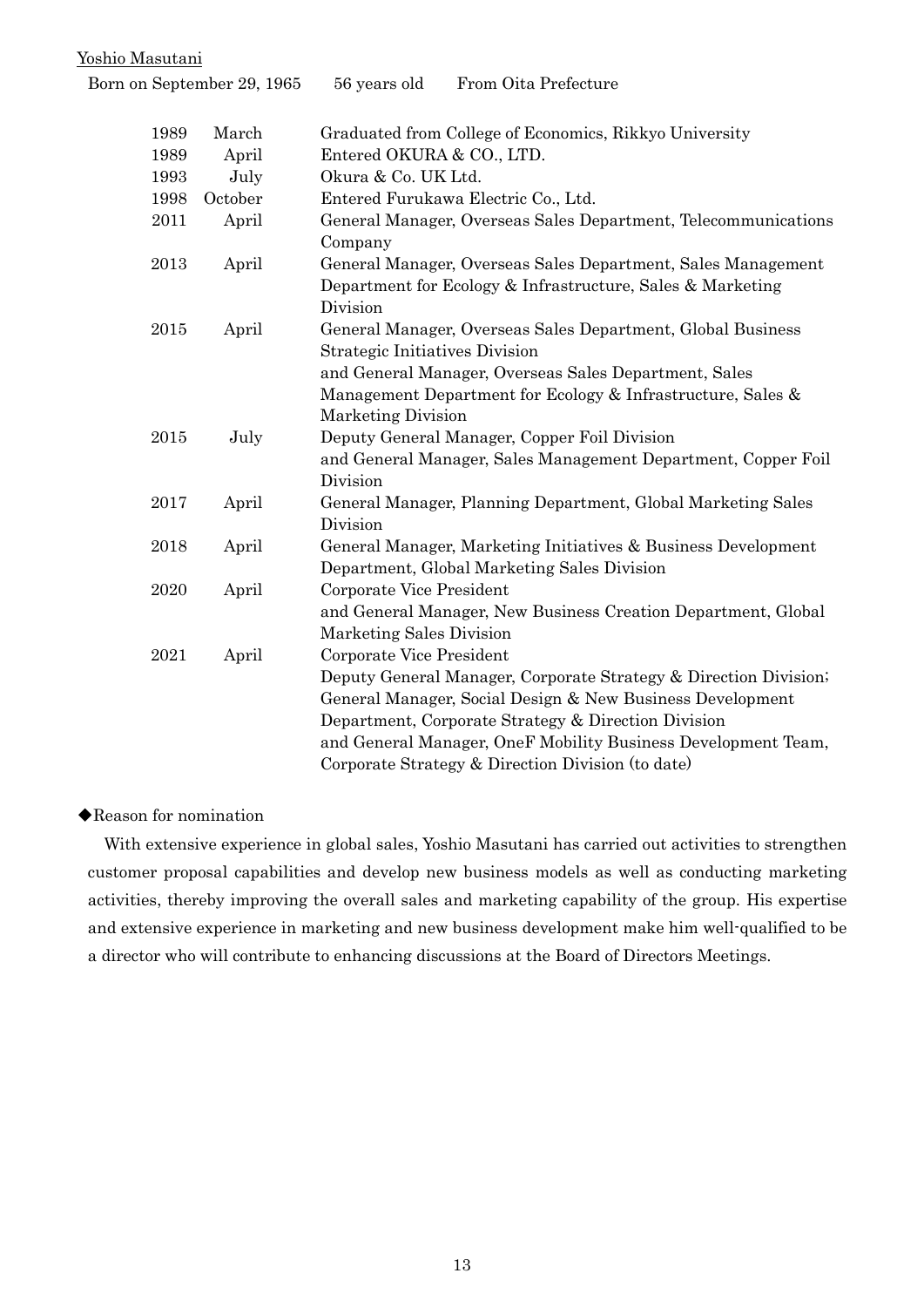### Yoshio Masutani

| Born on September 29, 1965 |         | 56 years old                                         | From Oita Prefecture                                                                                                                                                                                                                                                                                       |
|----------------------------|---------|------------------------------------------------------|------------------------------------------------------------------------------------------------------------------------------------------------------------------------------------------------------------------------------------------------------------------------------------------------------------|
| 1989                       | March   |                                                      | Graduated from College of Economics, Rikkyo University                                                                                                                                                                                                                                                     |
| 1989                       | April   | Entered OKURA & CO., LTD.                            |                                                                                                                                                                                                                                                                                                            |
| 1993                       | July    | Okura & Co. UK Ltd.                                  |                                                                                                                                                                                                                                                                                                            |
| 1998                       | October | Entered Furukawa Electric Co., Ltd.                  |                                                                                                                                                                                                                                                                                                            |
| 2011                       | April   | Company                                              | General Manager, Overseas Sales Department, Telecommunications                                                                                                                                                                                                                                             |
| 2013                       | April   | Division                                             | General Manager, Overseas Sales Department, Sales Management<br>Department for Ecology & Infrastructure, Sales & Marketing                                                                                                                                                                                 |
| 2015                       | April   | <b>Strategic Initiatives Division</b>                | General Manager, Overseas Sales Department, Global Business                                                                                                                                                                                                                                                |
|                            |         | <b>Marketing Division</b>                            | and General Manager, Overseas Sales Department, Sales<br>Management Department for Ecology & Infrastructure, Sales &                                                                                                                                                                                       |
| 2015                       | July    | Division                                             | Deputy General Manager, Copper Foil Division<br>and General Manager, Sales Management Department, Copper Foil                                                                                                                                                                                              |
| 2017                       | April   | Division                                             | General Manager, Planning Department, Global Marketing Sales                                                                                                                                                                                                                                               |
| 2018                       | April   |                                                      | General Manager, Marketing Initiatives & Business Development<br>Department, Global Marketing Sales Division                                                                                                                                                                                               |
| 2020                       | April   | Corporate Vice President<br>Marketing Sales Division | and General Manager, New Business Creation Department, Global                                                                                                                                                                                                                                              |
| 2021                       | April   | Corporate Vice President                             | Deputy General Manager, Corporate Strategy & Direction Division;<br>General Manager, Social Design & New Business Development<br>Department, Corporate Strategy & Direction Division<br>and General Manager, OneF Mobility Business Development Team,<br>Corporate Strategy & Direction Division (to date) |

## ◆Reason for nomination

With extensive experience in global sales, Yoshio Masutani has carried out activities to strengthen customer proposal capabilities and develop new business models as well as conducting marketing activities, thereby improving the overall sales and marketing capability of the group. His expertise and extensive experience in marketing and new business development make him well-qualified to be a director who will contribute to enhancing discussions at the Board of Directors Meetings.